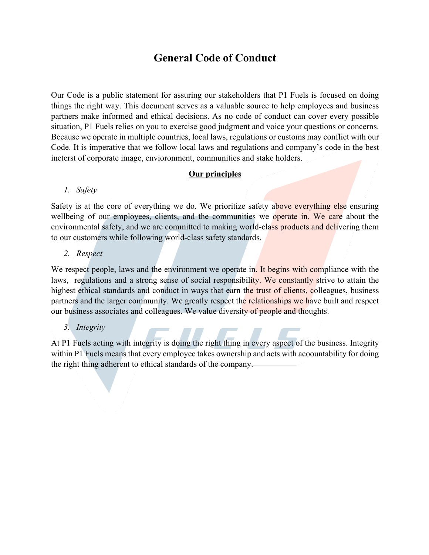# **General Code of Conduct**

Our Code is a public statement for assuring our stakeholders that P1 Fuels is focused on doing things the right way. This document serves as a valuable source to help employees and business partners make informed and ethical decisions. As no code of conduct can cover every possible situation, P1 Fuels relies on you to exercise good judgment and voice your questions or concerns. Because we operate in multiple countries, local laws, regulations or customs may conflict with our Code. It is imperative that we follow local laws and regulations and company's code in the best ineterst of corporate image, envioronment, communities and stake holders.

## **Our principles**

## *1. Safety*

Safety is at the core of everything we do. We prioritize safety above everything else ensuring wellbeing of our employees, clients, and the communities we operate in. We care about the environmental safety, and we are committed to making world-class products and delivering them to our customers while following world-class safety standards.

## *2. Respect*

We respect people, laws and the environment we operate in. It begins with compliance with the laws, regulations and a strong sense of social responsibility. We constantly strive to attain the highest ethical standards and conduct in ways that earn the trust of clients, colleagues, business partners and the larger community. We greatly respect the relationships we have built and respect our business associates and colleagues. We value diversity of people and thoughts.

## *3. Integrity*

At P1 Fuels acting with integrity is doing the right thing in every aspect of the business. Integrity within P1 Fuels means that every employee takes ownership and acts with acoountability for doing the right thing adherent to ethical standards of the company.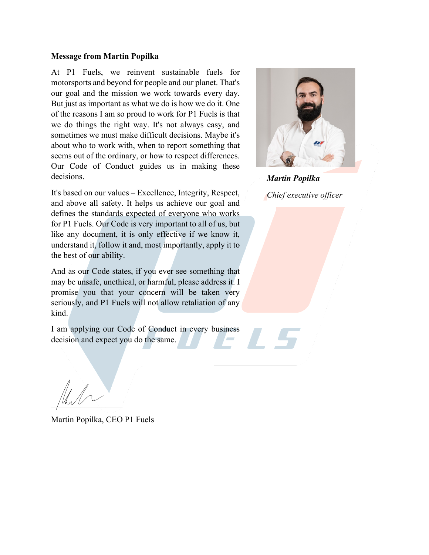#### **Message from Martin Popilka**

At P1 Fuels, we reinvent sustainable fuels for motorsports and beyond for people and our planet. That's our goal and the mission we work towards every day. But just as important as what we do is how we do it. One of the reasons I am so proud to work for P1 Fuels is that we do things the right way. It's not always easy, and sometimes we must make difficult decisions. Maybe it's about who to work with, when to report something that seems out of the ordinary, or how to respect differences. Our Code of Conduct guides us in making these decisions.

It's based on our values – Excellence, Integrity, Respect, and above all safety. It helps us achieve our goal and defines the standards expected of everyone who works for P1 Fuels. Our Code is very important to all of us, but like any document, it is only effective if we know it, understand it, follow it and, most importantly, apply it to the best of our ability.

And as our Code states, if you ever see something that may be unsafe, unethical, or harmful, please address it. I promise you that your concern will be taken very seriously, and P1 Fuels will not allow retaliation of any kind.

I am applying our Code of Conduct in every business decision and expect you do the same.

 $\int$ Uhr $V$ 

Martin Popilka, CEO P1 Fuels



*Martin Popilka Chief executive officer*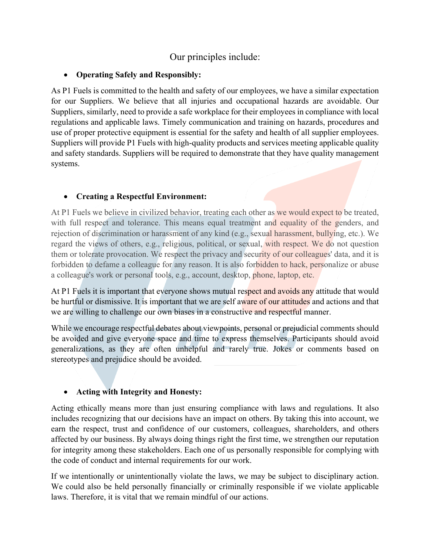## Our principles include:

## • **Operating Safely and Responsibly:**

As P1 Fuels is committed to the health and safety of our employees, we have a similar expectation for our Suppliers. We believe that all injuries and occupational hazards are avoidable. Our Suppliers, similarly, need to provide a safe workplace for their employees in compliance with local regulations and applicable laws. Timely communication and training on hazards, procedures and use of proper protective equipment is essential for the safety and health of all supplier employees. Suppliers will provide P1 Fuels with high-quality products and services meeting applicable quality and safety standards. Suppliers will be required to demonstrate that they have quality management systems.

## • **Creating a Respectful Environment:**

At P1 Fuels we believe in civilized behavior, treating each other as we would expect to be treated, with full respect and tolerance. This means equal treatment and equality of the genders, and rejection of discrimination or harassment of any kind (e.g., sexual harassment, bullying, etc.). We regard the views of others, e.g., religious, political, or sexual, with respect. We do not question them or tolerate provocation. We respect the privacy and security of our colleagues' data, and it is forbidden to defame a colleague for any reason. It is also forbidden to hack, personalize or abuse a colleague's work or personal tools, e.g., account, desktop, phone, laptop, etc.

At P1 Fuels it is important that everyone shows mutual respect and avoids any attitude that would be hurtful or dismissive. It is important that we are self aware of our attitudes and actions and that we are willing to challenge our own biases in a constructive and respectful manner.

While we encourage respectful debates about viewpoints, personal or prejudicial comments should be avoided and give everyone space and time to express themselves. Participants should avoid generalizations, as they are often unhelpful and rarely true. Jokes or comments based on stereotypes and prejudice should be avoided.

## • **Acting with Integrity and Honesty:**

Acting ethically means more than just ensuring compliance with laws and regulations. It also includes recognizing that our decisions have an impact on others. By taking this into account, we earn the respect, trust and confidence of our customers, colleagues, shareholders, and others affected by our business. By always doing things right the first time, we strengthen our reputation for integrity among these stakeholders. Each one of us personally responsible for complying with the code of conduct and internal requirements for our work.

If we intentionally or unintentionally violate the laws, we may be subject to disciplinary action. We could also be held personally financially or criminally responsible if we violate applicable laws. Therefore, it is vital that we remain mindful of our actions.